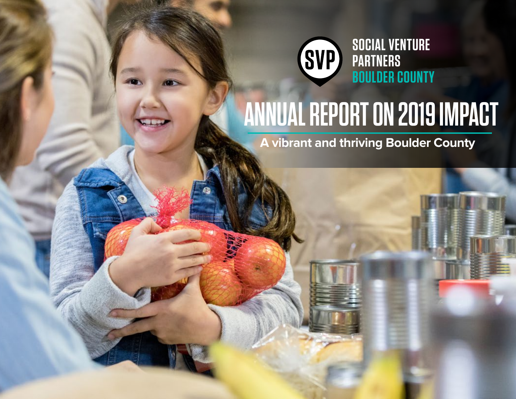

# **ANNUAL REPORT ON 2019 IMPACT**

**A vibrant and thriving Boulder County**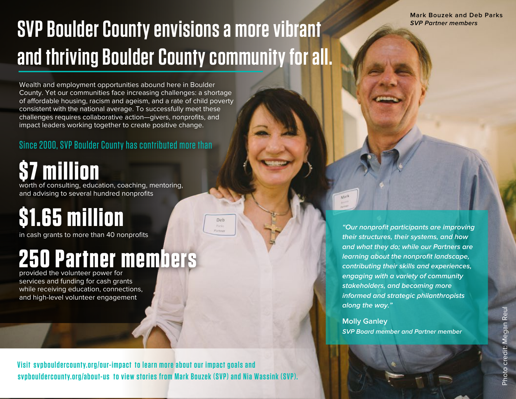**Mark Bouzek and Deb Parks SVP Partner members**

# **SVP Boulder County envisions a more vibrant and thriving Boulder County community for all.**

Deb

Wealth and employment opportunities abound here in Boulder County. Yet our communities face increasing challenges: a shortage of affordable housing, racism and ageism, and a rate of child poverty consistent with the national average. To successfully meet these challenges requires collaborative action—givers, nonprofits, and impact leaders working together to create positive change.

### Since 2000, SVP Boulder County has contributed more than

# **\$7 million**

worth of consulting, education, coaching, mentoring, and advising to several hundred nonprofits

# **\$1.65 million**

in cash grants to more than 40 nonprofits

## **250 Partner members**

provided the volunteer power for services and funding for cash grants while receiving education, connections, and high-level volunteer engagement

**Visit svpbouldercounty.org/our-impact to learn more about our impact goals and** [svpbouldercounty.org/about-us](https://www.socialventurepartners.org/boulder-county/about-us/) to view stories from Mark Bouzek (SVP) and Nia Wassink (SVP).

**"Our nonprofit participants are improving their structures, their systems, and how and what they do; while our Partners are learning about the nonprofit landscape, contributing their skills and experiences, engaging with a variety of community stakeholders, and becoming more informed and strategic philanthropists along the way."** 

**Molly Ganley SVP Board member and Partner member**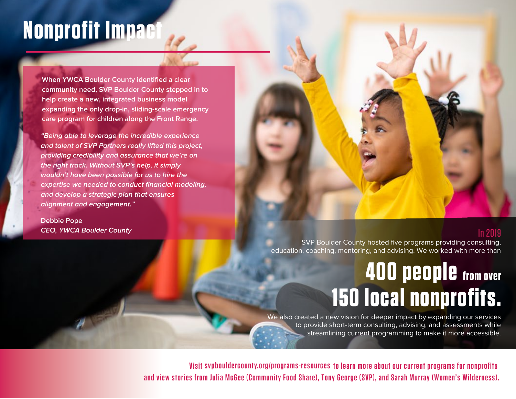# **Nonprofit Impact**

**When YWCA Boulder County identified a clear community need, SVP Boulder County stepped in to help create a new, integrated business model expanding the only drop-in, sliding-scale emergency care program for children along the Front Range.** 

**"Being able to leverage the incredible experience and talent of SVP Partners really lifted this project, providing credibility and assurance that we're on the right track. Without SVP's help, it simply wouldn't have been possible for us to hire the expertise we needed to conduct financial modeling, and develop a strategic plan that ensures alignment and engagement."**

**Debbie Pope CEO, YWCA Boulder County**

#### In 2019

SVP Boulder County hosted five programs providing consulting, education, coaching, mentoring, and advising. We worked with more than

# **400 people from over 150 local nonprofits.**

We also created a new vision for deeper impact by expanding our services to provide short-term consulting, advising, and assessments while streamlining current programming to make it more accessible.

**Visit svpbouldercounty.org/programs-resources to learn more about our current programs for nonprofits and view stories from Julia McGee (Community Food Share), Tony George (SVP), and Sarah Murray (Women's Wilderness).**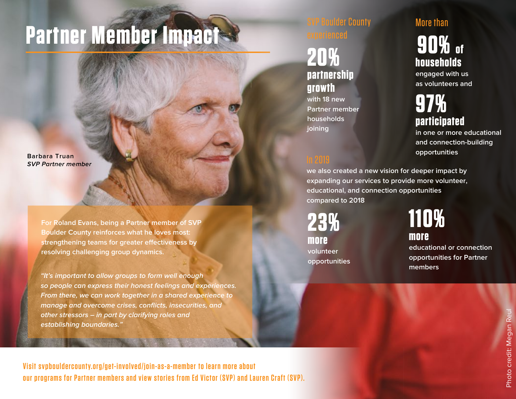# **Partner Member Impact**

**Barbara Truan SVP Partner member**

> **For Roland Evans, being a Partner member of SVP Boulder County reinforces what he loves most: strengthening teams for greater effectiveness by resolving challenging group dynamics.**

**"It's important to allow groups to form well enough so people can express their honest feelings and experiences. From there, we can work together in a shared experience to manage and overcome crises, conflicts, insecurities, and other stressors – in part by clarifying roles and establishing boundaries."**

lder County

## **20% partnership growth**

**with 18 new Partner member households joining**

## More than

**90% of households**

**engaged with us as volunteers and**

## **97% participated**

**in one or more educational and connection-building opportunities**

**we also created a new vision for deeper impact by expanding our services to provide more volunteer, educational, and connection opportunities compared to 2018** 

**23% more volunteer opportunities**  **110% more** 

**educational or connection opportunities for Partner members** 

Visit svpbouldercounty.org/get-involved/join-as-a-member to learn more about **our programs for Partner members and view stories from Ed Victor (SVP) and Lauren Craft (SVP).**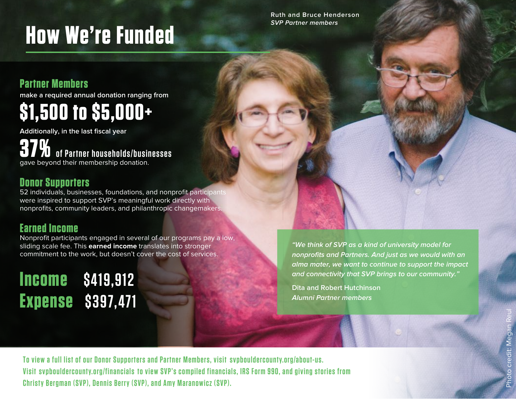# **How We're Funded**

**Ruth and Bruce Henderson SVP Partner members**

## **Partner Members**

**make a required annual donation ranging from**

## **\$1,500 to \$5,000+**

**Additionally, in the last fiscal year**

**37% of Partner households/businesses** gave beyond their membership donation.

## **Donor Supporters**

52 individuals, businesses, foundations, and nonprofit participants were inspired to support SVP's meaningful work directly with nonprofits, community leaders, and philanthropic changemakers.

## **Earned Income**

Nonprofit participants engaged in several of our programs pay a low, sliding scale fee. This **earned income** translates into stronger commitment to the work, but doesn't cover the cost of services.

## **Income \$419,912 Expense \$397,471**

**"We think of SVP as a kind of university model for nonprofits and Partners. And just as we would with an alma mater, we want to continue to support the impact and connectivity that SVP brings to our community."**

**Dita and Robert Hutchinson Alumni Partner members**

**To view a full list of our Donor Supporters and Partner Members, visit [svpbouldercounty.org/about-us](https://www.socialventurepartners.org/boulder-county/about-us/the-team/).** Visit [svpbouldercounty.org/financials](https://www.socialventurepartners.org/boulder-county/about-us/financials/) to view SVP's compiled financials, IRS Form 990, and giving stories from **Christy Bergman (SVP), Dennis Berry (SVP), and Amy Maranowicz (SVP).**